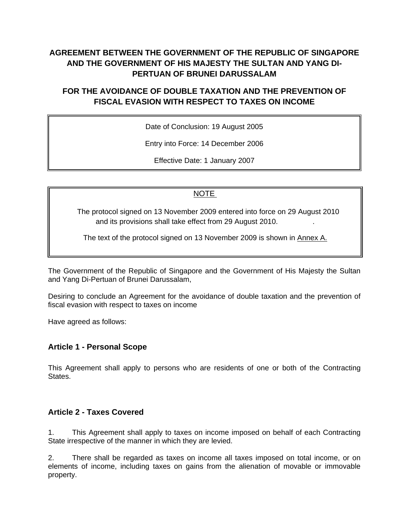# **AGREEMENT BETWEEN THE GOVERNMENT OF THE REPUBLIC OF SINGAPORE AND THE GOVERNMENT OF HIS MAJESTY THE SULTAN AND YANG DI-PERTUAN OF BRUNEI DARUSSALAM**

## **FOR THE AVOIDANCE OF DOUBLE TAXATION AND THE PREVENTION OF FISCAL EVASION WITH RESPECT TO TAXES ON INCOME**

Date of Conclusion: 19 August 2005

Entry into Force: 14 December 2006

Effective Date: 1 January 2007

#### NOTE

 The protocol signed on 13 November 2009 entered into force on 29 August 2010 and its provisions shall take effect from 29 August 2010. .

The text of the protocol signed on 13 November 2009 is shown in Annex A.

The Government of the Republic of Singapore and the Government of His Majesty the Sultan and Yang Di-Pertuan of Brunei Darussalam,

Desiring to conclude an Agreement for the avoidance of double taxation and the prevention of fiscal evasion with respect to taxes on income

Have agreed as follows:

#### **Article 1 - Personal Scope**

This Agreement shall apply to persons who are residents of one or both of the Contracting States.

#### **Article 2 - Taxes Covered**

1. This Agreement shall apply to taxes on income imposed on behalf of each Contracting State irrespective of the manner in which they are levied.

2. There shall be regarded as taxes on income all taxes imposed on total income, or on elements of income, including taxes on gains from the alienation of movable or immovable property.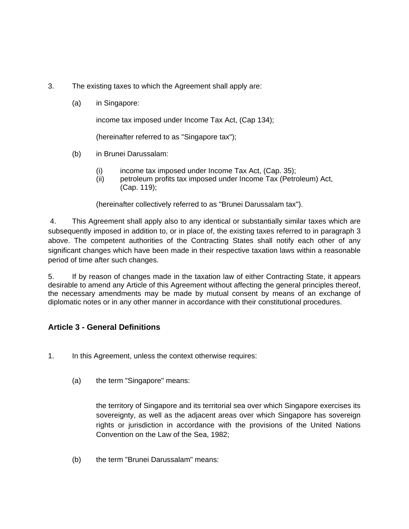- 3. The existing taxes to which the Agreement shall apply are:
	- (a) in Singapore:

income tax imposed under Income Tax Act, (Cap 134);

(hereinafter referred to as "Singapore tax");

- (b) in Brunei Darussalam:
	- (i) income tax imposed under Income Tax Act, (Cap. 35);
	- (ii) petroleum profits tax imposed under Income Tax (Petroleum) Act, (Cap. 119);

(hereinafter collectively referred to as "Brunei Darussalam tax").

4. This Agreement shall apply also to any identical or substantially similar taxes which are subsequently imposed in addition to, or in place of, the existing taxes referred to in paragraph 3 above. The competent authorities of the Contracting States shall notify each other of any significant changes which have been made in their respective taxation laws within a reasonable period of time after such changes.

5. If by reason of changes made in the taxation law of either Contracting State, it appears desirable to amend any Article of this Agreement without affecting the general principles thereof, the necessary amendments may be made by mutual consent by means of an exchange of diplomatic notes or in any other manner in accordance with their constitutional procedures.

## **Article 3 - General Definitions**

- 1. In this Agreement, unless the context otherwise requires:
	- (a) the term "Singapore" means:

the territory of Singapore and its territorial sea over which Singapore exercises its sovereignty, as well as the adjacent areas over which Singapore has sovereign rights or jurisdiction in accordance with the provisions of the United Nations Convention on the Law of the Sea, 1982;

(b) the term "Brunei Darussalam" means: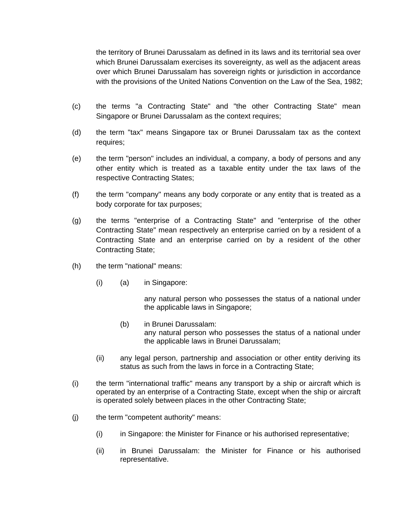the territory of Brunei Darussalam as defined in its laws and its territorial sea over which Brunei Darussalam exercises its sovereignty, as well as the adjacent areas over which Brunei Darussalam has sovereign rights or jurisdiction in accordance with the provisions of the United Nations Convention on the Law of the Sea, 1982;

- (c) the terms "a Contracting State" and "the other Contracting State" mean Singapore or Brunei Darussalam as the context requires;
- (d) the term "tax" means Singapore tax or Brunei Darussalam tax as the context requires;
- (e) the term "person" includes an individual, a company, a body of persons and any other entity which is treated as a taxable entity under the tax laws of the respective Contracting States;
- (f) the term "company" means any body corporate or any entity that is treated as a body corporate for tax purposes;
- (g) the terms "enterprise of a Contracting State" and "enterprise of the other Contracting State" mean respectively an enterprise carried on by a resident of a Contracting State and an enterprise carried on by a resident of the other Contracting State;
- (h) the term "national" means:
	- (i) (a) in Singapore:

any natural person who possesses the status of a national under the applicable laws in Singapore;

- (b) in Brunei Darussalam: any natural person who possesses the status of a national under the applicable laws in Brunei Darussalam;
- (ii) any legal person, partnership and association or other entity deriving its status as such from the laws in force in a Contracting State;
- (i) the term "international traffic" means any transport by a ship or aircraft which is operated by an enterprise of a Contracting State, except when the ship or aircraft is operated solely between places in the other Contracting State;
- (j) the term "competent authority" means:
	- (i) in Singapore: the Minister for Finance or his authorised representative;
	- (ii) in Brunei Darussalam: the Minister for Finance or his authorised representative.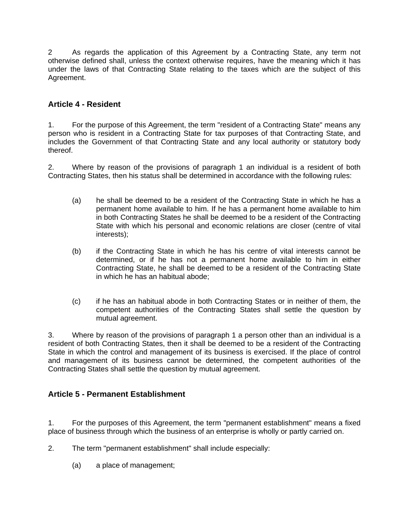2 As regards the application of this Agreement by a Contracting State, any term not otherwise defined shall, unless the context otherwise requires, have the meaning which it has under the laws of that Contracting State relating to the taxes which are the subject of this Agreement.

## **Article 4 - Resident**

1. For the purpose of this Agreement, the term "resident of a Contracting State" means any person who is resident in a Contracting State for tax purposes of that Contracting State, and includes the Government of that Contracting State and any local authority or statutory body thereof.

2. Where by reason of the provisions of paragraph 1 an individual is a resident of both Contracting States, then his status shall be determined in accordance with the following rules:

- (a) he shall be deemed to be a resident of the Contracting State in which he has a permanent home available to him. If he has a permanent home available to him in both Contracting States he shall be deemed to be a resident of the Contracting State with which his personal and economic relations are closer (centre of vital interests);
- (b) if the Contracting State in which he has his centre of vital interests cannot be determined, or if he has not a permanent home available to him in either Contracting State, he shall be deemed to be a resident of the Contracting State in which he has an habitual abode;
- (c) if he has an habitual abode in both Contracting States or in neither of them, the competent authorities of the Contracting States shall settle the question by mutual agreement.

3. Where by reason of the provisions of paragraph 1 a person other than an individual is a resident of both Contracting States, then it shall be deemed to be a resident of the Contracting State in which the control and management of its business is exercised. If the place of control and management of its business cannot be determined, the competent authorities of the Contracting States shall settle the question by mutual agreement.

## **Article 5 - Permanent Establishment**

1. For the purposes of this Agreement, the term "permanent establishment" means a fixed place of business through which the business of an enterprise is wholly or partly carried on.

- 2. The term "permanent establishment" shall include especially:
	- (a) a place of management;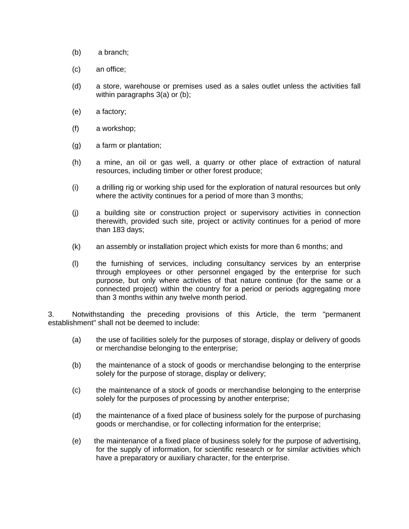- (b) a branch;
- (c) an office;
- (d) a store, warehouse or premises used as a sales outlet unless the activities fall within paragraphs 3(a) or (b);
- (e) a factory;
- (f) a workshop;
- (g) a farm or plantation;
- (h) a mine, an oil or gas well, a quarry or other place of extraction of natural resources, including timber or other forest produce;
- (i) a drilling rig or working ship used for the exploration of natural resources but only where the activity continues for a period of more than 3 months;
- (j) a building site or construction project or supervisory activities in connection therewith, provided such site, project or activity continues for a period of more than 183 days;
- (k) an assembly or installation project which exists for more than 6 months; and
- (l) the furnishing of services, including consultancy services by an enterprise through employees or other personnel engaged by the enterprise for such purpose, but only where activities of that nature continue (for the same or a connected project) within the country for a period or periods aggregating more than 3 months within any twelve month period.

3. Notwithstanding the preceding provisions of this Article, the term "permanent establishment" shall not be deemed to include:

- (a) the use of facilities solely for the purposes of storage, display or delivery of goods or merchandise belonging to the enterprise;
- (b) the maintenance of a stock of goods or merchandise belonging to the enterprise solely for the purpose of storage, display or delivery;
- (c) the maintenance of a stock of goods or merchandise belonging to the enterprise solely for the purposes of processing by another enterprise;
- (d) the maintenance of a fixed place of business solely for the purpose of purchasing goods or merchandise, or for collecting information for the enterprise;
- (e) the maintenance of a fixed place of business solely for the purpose of advertising, for the supply of information, for scientific research or for similar activities which have a preparatory or auxiliary character, for the enterprise.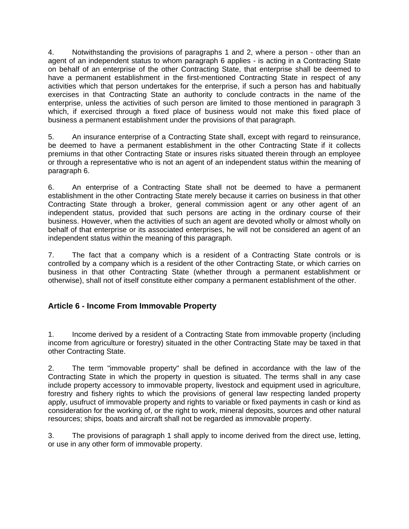4. Notwithstanding the provisions of paragraphs 1 and 2, where a person - other than an agent of an independent status to whom paragraph 6 applies - is acting in a Contracting State on behalf of an enterprise of the other Contracting State, that enterprise shall be deemed to have a permanent establishment in the first-mentioned Contracting State in respect of any activities which that person undertakes for the enterprise, if such a person has and habitually exercises in that Contracting State an authority to conclude contracts in the name of the enterprise, unless the activities of such person are limited to those mentioned in paragraph 3 which, if exercised through a fixed place of business would not make this fixed place of business a permanent establishment under the provisions of that paragraph.

5. An insurance enterprise of a Contracting State shall, except with regard to reinsurance, be deemed to have a permanent establishment in the other Contracting State if it collects premiums in that other Contracting State or insures risks situated therein through an employee or through a representative who is not an agent of an independent status within the meaning of paragraph 6.

6. An enterprise of a Contracting State shall not be deemed to have a permanent establishment in the other Contracting State merely because it carries on business in that other Contracting State through a broker, general commission agent or any other agent of an independent status, provided that such persons are acting in the ordinary course of their business. However, when the activities of such an agent are devoted wholly or almost wholly on behalf of that enterprise or its associated enterprises, he will not be considered an agent of an independent status within the meaning of this paragraph.

7. The fact that a company which is a resident of a Contracting State controls or is controlled by a company which is a resident of the other Contracting State, or which carries on business in that other Contracting State (whether through a permanent establishment or otherwise), shall not of itself constitute either company a permanent establishment of the other.

## **Article 6 - Income From Immovable Property**

1. Income derived by a resident of a Contracting State from immovable property (including income from agriculture or forestry) situated in the other Contracting State may be taxed in that other Contracting State.

2. The term "immovable property" shall be defined in accordance with the law of the Contracting State in which the property in question is situated. The terms shall in any case include property accessory to immovable property, livestock and equipment used in agriculture, forestry and fishery rights to which the provisions of general law respecting landed property apply, usufruct of immovable property and rights to variable or fixed payments in cash or kind as consideration for the working of, or the right to work, mineral deposits, sources and other natural resources; ships, boats and aircraft shall not be regarded as immovable property.

3. The provisions of paragraph 1 shall apply to income derived from the direct use, letting, or use in any other form of immovable property.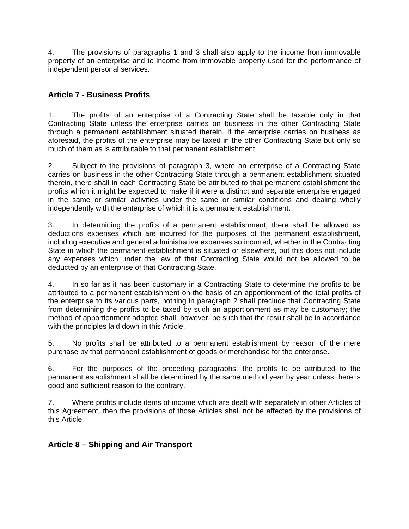4. The provisions of paragraphs 1 and 3 shall also apply to the income from immovable property of an enterprise and to income from immovable property used for the performance of independent personal services.

## **Article 7 - Business Profits**

1. The profits of an enterprise of a Contracting State shall be taxable only in that Contracting State unless the enterprise carries on business in the other Contracting State through a permanent establishment situated therein. If the enterprise carries on business as aforesaid, the profits of the enterprise may be taxed in the other Contracting State but only so much of them as is attributable to that permanent establishment.

2. Subject to the provisions of paragraph 3, where an enterprise of a Contracting State carries on business in the other Contracting State through a permanent establishment situated therein, there shall in each Contracting State be attributed to that permanent establishment the profits which it might be expected to make if it were a distinct and separate enterprise engaged in the same or similar activities under the same or similar conditions and dealing wholly independently with the enterprise of which it is a permanent establishment.

3. In determining the profits of a permanent establishment, there shall be allowed as deductions expenses which are incurred for the purposes of the permanent establishment, including executive and general administrative expenses so incurred, whether in the Contracting State in which the permanent establishment is situated or elsewhere, but this does not include any expenses which under the law of that Contracting State would not be allowed to be deducted by an enterprise of that Contracting State.

4. In so far as it has been customary in a Contracting State to determine the profits to be attributed to a permanent establishment on the basis of an apportionment of the total profits of the enterprise to its various parts, nothing in paragraph 2 shall preclude that Contracting State from determining the profits to be taxed by such an apportionment as may be customary; the method of apportionment adopted shall, however, be such that the result shall be in accordance with the principles laid down in this Article.

5. No profits shall be attributed to a permanent establishment by reason of the mere purchase by that permanent establishment of goods or merchandise for the enterprise.

6. For the purposes of the preceding paragraphs, the profits to be attributed to the permanent establishment shall be determined by the same method year by year unless there is good and sufficient reason to the contrary.

7. Where profits include items of income which are dealt with separately in other Articles of this Agreement, then the provisions of those Articles shall not be affected by the provisions of this Article.

## **Article 8 – Shipping and Air Transport**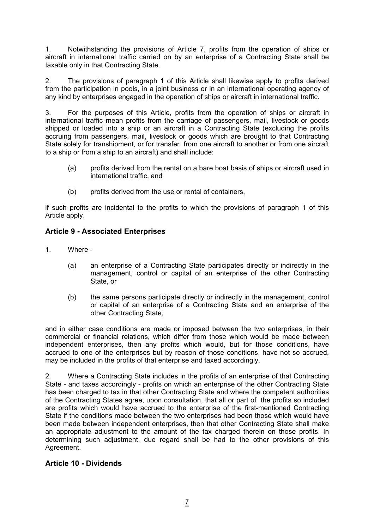1. Notwithstanding the provisions of Article 7, profits from the operation of ships or aircraft in international traffic carried on by an enterprise of a Contracting State shall be taxable only in that Contracting State.

2. The provisions of paragraph 1 of this Article shall likewise apply to profits derived from the participation in pools, in a joint business or in an international operating agency of any kind by enterprises engaged in the operation of ships or aircraft in international traffic.

3. For the purposes of this Article, profits from the operation of ships or aircraft in international traffic mean profits from the carriage of passengers, mail, livestock or goods shipped or loaded into a ship or an aircraft in a Contracting State (excluding the profits accruing from passengers, mail, livestock or goods which are brought to that Contracting State solely for transhipment, or for transfer from one aircraft to another or from one aircraft to a ship or from a ship to an aircraft) and shall include:

- (a) profits derived from the rental on a bare boat basis of ships or aircraft used in international traffic, and
- (b) profits derived from the use or rental of containers,

if such profits are incidental to the profits to which the provisions of paragraph 1 of this Article apply.

## **Article 9 - Associated Enterprises**

- 1. Where
	- (a) an enterprise of a Contracting State participates directly or indirectly in the management, control or capital of an enterprise of the other Contracting State, or
	- (b) the same persons participate directly or indirectly in the management, control or capital of an enterprise of a Contracting State and an enterprise of the other Contracting State,

and in either case conditions are made or imposed between the two enterprises, in their commercial or financial relations, which differ from those which would be made between independent enterprises, then any profits which would, but for those conditions, have accrued to one of the enterprises but by reason of those conditions, have not so accrued, may be included in the profits of that enterprise and taxed accordingly.

2. Where a Contracting State includes in the profits of an enterprise of that Contracting State - and taxes accordingly - profits on which an enterprise of the other Contracting State has been charged to tax in that other Contracting State and where the competent authorities of the Contracting States agree, upon consultation, that all or part of the profits so included are profits which would have accrued to the enterprise of the first-mentioned Contracting State if the conditions made between the two enterprises had been those which would have been made between independent enterprises, then that other Contracting State shall make an appropriate adjustment to the amount of the tax charged therein on those profits. In determining such adjustment, due regard shall be had to the other provisions of this Agreement.

## **Article 10 - Dividends**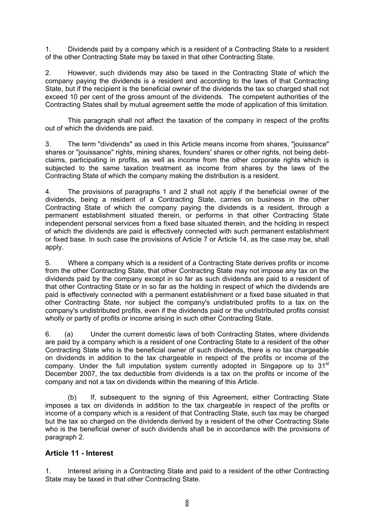1. Dividends paid by a company which is a resident of a Contracting State to a resident of the other Contracting State may be taxed in that other Contracting State.

2. However, such dividends may also be taxed in the Contracting State of which the company paying the dividends is a resident and according to the laws of that Contracting State, but if the recipient is the beneficial owner of the dividends the tax so charged shall not exceed 10 per cent of the gross amount of the dividends. The competent authorities of the Contracting States shall by mutual agreement settle the mode of application of this limitation.

This paragraph shall not affect the taxation of the company in respect of the profits out of which the dividends are paid.

3. The term "dividends" as used in this Article means income from shares, "jouissance" shares or "jouissance" rights, mining shares, founders' shares or other rights, not being debtclaims, participating in profits, as well as income from the other corporate rights which is subjected to the same taxation treatment as income from shares by the laws of the Contracting State of which the company making the distribution is a resident.

4. The provisions of paragraphs 1 and 2 shall not apply if the beneficial owner of the dividends, being a resident of a Contracting State, carries on business in the other Contracting State of which the company paying the dividends is a resident, through a permanent establishment situated therein, or performs in that other Contracting State independent personal services from a fixed base situated therein, and the holding in respect of which the dividends are paid is effectively connected with such permanent establishment or fixed base. In such case the provisions of Article 7 or Article 14, as the case may be, shall apply.

5. Where a company which is a resident of a Contracting State derives profits or income from the other Contracting State, that other Contracting State may not impose any tax on the dividends paid by the company except in so far as such dividends are paid to a resident of that other Contracting State or in so far as the holding in respect of which the dividends are paid is effectively connected with a permanent establishment or a fixed base situated in that other Contracting State, nor subject the company's undistributed profits to a tax on the company's undistributed profits, even if the dividends paid or the undistributed profits consist wholly or partly of profits or income arising in such other Contracting State.

6. (a) Under the current domestic laws of both Contracting States, where dividends are paid by a company which is a resident of one Contracting State to a resident of the other Contracting State who is the beneficial owner of such dividends, there is no tax chargeable on dividends in addition to the tax chargeable in respect of the profits or income of the company. Under the full imputation system currently adopted in Singapore up to 31<sup>st</sup> December 2007, the tax deductible from dividends is a tax on the profits or income of the company and not a tax on dividends within the meaning of this Article.

(b) If, subsequent to the signing of this Agreement, either Contracting State imposes a tax on dividends in addition to the tax chargeable in respect of the profits or income of a company which is a resident of that Contracting State, such tax may be charged but the tax so charged on the dividends derived by a resident of the other Contracting State who is the beneficial owner of such dividends shall be in accordance with the provisions of paragraph 2.

## **Article 11 - Interest**

1. Interest arising in a Contracting State and paid to a resident of the other Contracting State may be taxed in that other Contracting State.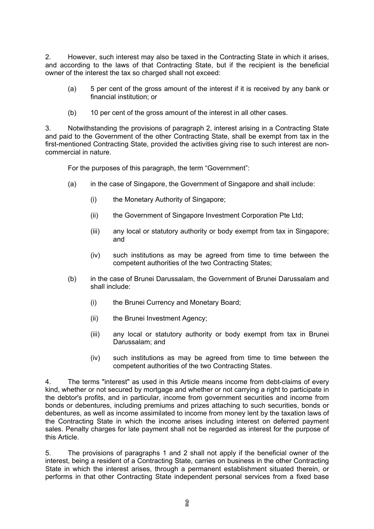2. However, such interest may also be taxed in the Contracting State in which it arises, and according to the laws of that Contracting State, but if the recipient is the beneficial owner of the interest the tax so charged shall not exceed:

- (a) 5 per cent of the gross amount of the interest if it is received by any bank or financial institution; or
- (b) 10 per cent of the gross amount of the interest in all other cases.

3. Notwithstanding the provisions of paragraph 2, interest arising in a Contracting State and paid to the Government of the other Contracting State, shall be exempt from tax in the first-mentioned Contracting State, provided the activities giving rise to such interest are noncommercial in nature.

For the purposes of this paragraph, the term "Government":

- (a) in the case of Singapore, the Government of Singapore and shall include:
	- (i) the Monetary Authority of Singapore;
	- (ii) the Government of Singapore Investment Corporation Pte Ltd;
	- (iii) any local or statutory authority or body exempt from tax in Singapore; and
	- (iv) such institutions as may be agreed from time to time between the competent authorities of the two Contracting States;
- (b) in the case of Brunei Darussalam, the Government of Brunei Darussalam and shall include:
	- (i) the Brunei Currency and Monetary Board;
	- (ii) the Brunei Investment Agency;
	- (iii) any local or statutory authority or body exempt from tax in Brunei Darussalam; and
	- (iv) such institutions as may be agreed from time to time between the competent authorities of the two Contracting States.

4. The terms "interest" as used in this Article means income from debt-claims of every kind, whether or not secured by mortgage and whether or not carrying a right to participate in the debtor's profits, and in particular, income from government securities and income from bonds or debentures, including premiums and prizes attaching to such securities, bonds or debentures, as well as income assimilated to income from money lent by the taxation laws of the Contracting State in which the income arises including interest on deferred payment sales. Penalty charges for late payment shall not be regarded as interest for the purpose of this Article.

5. The provisions of paragraphs 1 and 2 shall not apply if the beneficial owner of the interest, being a resident of a Contracting State, carries on business in the other Contracting State in which the interest arises, through a permanent establishment situated therein, or performs in that other Contracting State independent personal services from a fixed base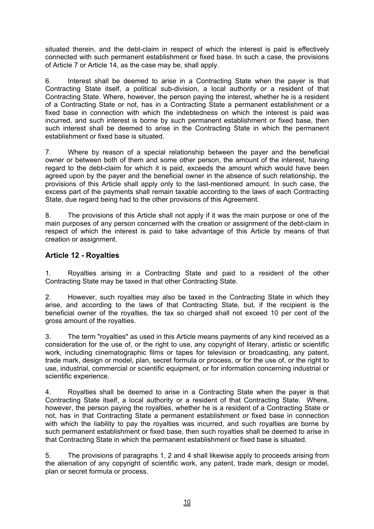situated therein, and the debt-claim in respect of which the interest is paid is effectively connected with such permanent establishment or fixed base. In such a case, the provisions of Article 7 or Article 14, as the case may be, shall apply.

6. Interest shall be deemed to arise in a Contracting State when the payer is that Contracting State itself, a political sub-division, a local authority or a resident of that Contracting State. Where, however, the person paying the interest, whether he is a resident of a Contracting State or not, has in a Contracting State a permanent establishment or a fixed base in connection with which the indebtedness on which the interest is paid was incurred, and such interest is borne by such permanent establishment or fixed base, then such interest shall be deemed to arise in the Contracting State in which the permanent establishment or fixed base is situated.

7. Where by reason of a special relationship between the payer and the beneficial owner or between both of them and some other person, the amount of the interest, having regard to the debt-claim for which it is paid, exceeds the amount which would have been agreed upon by the payer and the beneficial owner in the absence of such relationship, the provisions of this Article shall apply only to the last-mentioned amount. In such case, the excess part of the payments shall remain taxable according to the laws of each Contracting State, due regard being had to the other provisions of this Agreement.

8. The provisions of this Article shall not apply if it was the main purpose or one of the main purposes of any person concerned with the creation or assignment of the debt-claim in respect of which the interest is paid to take advantage of this Article by means of that creation or assignment.

## **Article 12 - Royalties**

1. Royalties arising in a Contracting State and paid to a resident of the other Contracting State may be taxed in that other Contracting State.

2. However, such royalties may also be taxed in the Contracting State in which they arise, and according to the laws of that Contracting State, but, if the recipient is the beneficial owner of the royalties, the tax so charged shall not exceed 10 per cent of the gross amount of the royalties.

3. The term "royalties" as used in this Article means payments of any kind received as a consideration for the use of, or the right to use, any copyright of literary, artistic or scientific work, including cinematographic films or tapes for television or broadcasting, any patent, trade mark, design or model, plan, secret formula or process, or for the use of, or the right to use, industrial, commercial or scientific equipment, or for information concerning industrial or scientific experience.

4. Royalties shall be deemed to arise in a Contracting State when the payer is that Contracting State itself, a local authority or a resident of that Contracting State. Where, however, the person paying the royalties, whether he is a resident of a Contracting State or not, has in that Contracting State a permanent establishment or fixed base in connection with which the liability to pay the royalties was incurred, and such royalties are borne by such permanent establishment or fixed base, then such royalties shall be deemed to arise in that Contracting State in which the permanent establishment or fixed base is situated.

5. The provisions of paragraphs 1, 2 and 4 shall likewise apply to proceeds arising from the alienation of any copyright of scientific work, any patent, trade mark, design or model, plan or secret formula or process.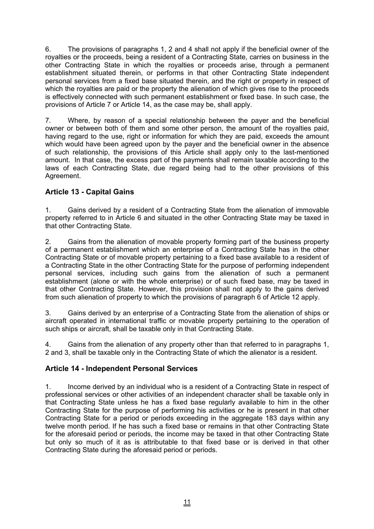6. The provisions of paragraphs 1, 2 and 4 shall not apply if the beneficial owner of the royalties or the proceeds, being a resident of a Contracting State, carries on business in the other Contracting State in which the royalties or proceeds arise, through a permanent establishment situated therein, or performs in that other Contracting State independent personal services from a fixed base situated therein, and the right or property in respect of which the royalties are paid or the property the alienation of which gives rise to the proceeds is effectively connected with such permanent establishment or fixed base. In such case, the provisions of Article 7 or Article 14, as the case may be, shall apply.

7. Where, by reason of a special relationship between the payer and the beneficial owner or between both of them and some other person, the amount of the royalties paid, having regard to the use, right or information for which they are paid, exceeds the amount which would have been agreed upon by the payer and the beneficial owner in the absence of such relationship, the provisions of this Article shall apply only to the last-mentioned amount. In that case, the excess part of the payments shall remain taxable according to the laws of each Contracting State, due regard being had to the other provisions of this Agreement.

# **Article 13 - Capital Gains**

1. Gains derived by a resident of a Contracting State from the alienation of immovable property referred to in Article 6 and situated in the other Contracting State may be taxed in that other Contracting State.

2. Gains from the alienation of movable property forming part of the business property of a permanent establishment which an enterprise of a Contracting State has in the other Contracting State or of movable property pertaining to a fixed base available to a resident of a Contracting State in the other Contracting State for the purpose of performing independent personal services, including such gains from the alienation of such a permanent establishment (alone or with the whole enterprise) or of such fixed base, may be taxed in that other Contracting State. However, this provision shall not apply to the gains derived from such alienation of property to which the provisions of paragraph 6 of Article 12 apply.

3. Gains derived by an enterprise of a Contracting State from the alienation of ships or aircraft operated in international traffic or movable property pertaining to the operation of such ships or aircraft, shall be taxable only in that Contracting State.

4. Gains from the alienation of any property other than that referred to in paragraphs 1, 2 and 3, shall be taxable only in the Contracting State of which the alienator is a resident.

## **Article 14 - Independent Personal Services**

1. Income derived by an individual who is a resident of a Contracting State in respect of professional services or other activities of an independent character shall be taxable only in that Contracting State unless he has a fixed base regularly available to him in the other Contracting State for the purpose of performing his activities or he is present in that other Contracting State for a period or periods exceeding in the aggregate 183 days within any twelve month period. If he has such a fixed base or remains in that other Contracting State for the aforesaid period or periods, the income may be taxed in that other Contracting State but only so much of it as is attributable to that fixed base or is derived in that other Contracting State during the aforesaid period or periods.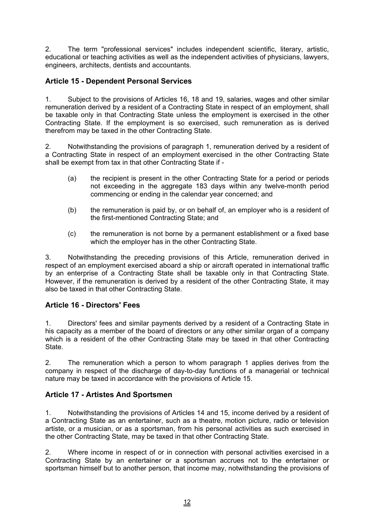2. The term "professional services" includes independent scientific, literary, artistic, educational or teaching activities as well as the independent activities of physicians, lawyers, engineers, architects, dentists and accountants.

## **Article 15 - Dependent Personal Services**

1. Subject to the provisions of Articles 16, 18 and 19, salaries, wages and other similar remuneration derived by a resident of a Contracting State in respect of an employment, shall be taxable only in that Contracting State unless the employment is exercised in the other Contracting State. If the employment is so exercised, such remuneration as is derived therefrom may be taxed in the other Contracting State.

2. Notwithstanding the provisions of paragraph 1, remuneration derived by a resident of a Contracting State in respect of an employment exercised in the other Contracting State shall be exempt from tax in that other Contracting State if -

- (a) the recipient is present in the other Contracting State for a period or periods not exceeding in the aggregate 183 days within any twelve-month period commencing or ending in the calendar year concerned; and
- (b) the remuneration is paid by, or on behalf of, an employer who is a resident of the first-mentioned Contracting State; and
- (c) the remuneration is not borne by a permanent establishment or a fixed base which the employer has in the other Contracting State.

3. Notwithstanding the preceding provisions of this Article, remuneration derived in respect of an employment exercised aboard a ship or aircraft operated in international traffic by an enterprise of a Contracting State shall be taxable only in that Contracting State. However, if the remuneration is derived by a resident of the other Contracting State, it may also be taxed in that other Contracting State.

## **Article 16 - Directors' Fees**

1. Directors' fees and similar payments derived by a resident of a Contracting State in his capacity as a member of the board of directors or any other similar organ of a company which is a resident of the other Contracting State may be taxed in that other Contracting State.

2. The remuneration which a person to whom paragraph 1 applies derives from the company in respect of the discharge of day-to-day functions of a managerial or technical nature may be taxed in accordance with the provisions of Article 15.

## **Article 17 - Artistes And Sportsmen**

1. Notwithstanding the provisions of Articles 14 and 15, income derived by a resident of a Contracting State as an entertainer, such as a theatre, motion picture, radio or television artiste, or a musician, or as a sportsman, from his personal activities as such exercised in the other Contracting State, may be taxed in that other Contracting State.

2. Where income in respect of or in connection with personal activities exercised in a Contracting State by an entertainer or a sportsman accrues not to the entertainer or sportsman himself but to another person, that income may, notwithstanding the provisions of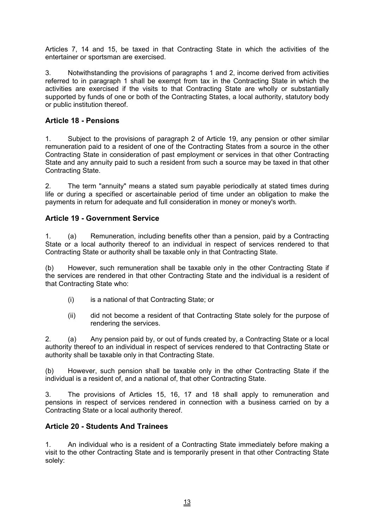Articles 7, 14 and 15, be taxed in that Contracting State in which the activities of the entertainer or sportsman are exercised.

3. Notwithstanding the provisions of paragraphs 1 and 2, income derived from activities referred to in paragraph 1 shall be exempt from tax in the Contracting State in which the activities are exercised if the visits to that Contracting State are wholly or substantially supported by funds of one or both of the Contracting States, a local authority, statutory body or public institution thereof.

## **Article 18 - Pensions**

1. Subject to the provisions of paragraph 2 of Article 19, any pension or other similar remuneration paid to a resident of one of the Contracting States from a source in the other Contracting State in consideration of past employment or services in that other Contracting State and any annuity paid to such a resident from such a source may be taxed in that other Contracting State.

2. The term "annuity" means a stated sum payable periodically at stated times during life or during a specified or ascertainable period of time under an obligation to make the payments in return for adequate and full consideration in money or money's worth.

## **Article 19 - Government Service**

1. (a) Remuneration, including benefits other than a pension, paid by a Contracting State or a local authority thereof to an individual in respect of services rendered to that Contracting State or authority shall be taxable only in that Contracting State.

(b) However, such remuneration shall be taxable only in the other Contracting State if the services are rendered in that other Contracting State and the individual is a resident of that Contracting State who:

- (i) is a national of that Contracting State; or
- (ii) did not become a resident of that Contracting State solely for the purpose of rendering the services.

2. (a) Any pension paid by, or out of funds created by, a Contracting State or a local authority thereof to an individual in respect of services rendered to that Contracting State or authority shall be taxable only in that Contracting State.

(b) However, such pension shall be taxable only in the other Contracting State if the individual is a resident of, and a national of, that other Contracting State.

3. The provisions of Articles 15, 16, 17 and 18 shall apply to remuneration and pensions in respect of services rendered in connection with a business carried on by a Contracting State or a local authority thereof.

## **Article 20 - Students And Trainees**

1. An individual who is a resident of a Contracting State immediately before making a visit to the other Contracting State and is temporarily present in that other Contracting State solely: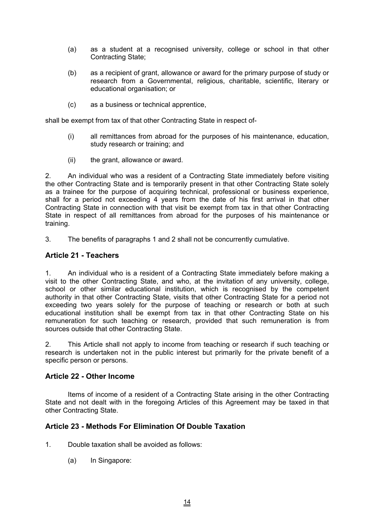- (a) as a student at a recognised university, college or school in that other Contracting State;
- (b) as a recipient of grant, allowance or award for the primary purpose of study or research from a Governmental, religious, charitable, scientific, literary or educational organisation; or
- (c) as a business or technical apprentice,

shall be exempt from tax of that other Contracting State in respect of-

- (i) all remittances from abroad for the purposes of his maintenance, education, study research or training; and
- (ii) the grant, allowance or award.

2. An individual who was a resident of a Contracting State immediately before visiting the other Contracting State and is temporarily present in that other Contracting State solely as a trainee for the purpose of acquiring technical, professional or business experience, shall for a period not exceeding 4 years from the date of his first arrival in that other Contracting State in connection with that visit be exempt from tax in that other Contracting State in respect of all remittances from abroad for the purposes of his maintenance or training.

3. The benefits of paragraphs 1 and 2 shall not be concurrently cumulative.

## **Article 21 - Teachers**

1. An individual who is a resident of a Contracting State immediately before making a visit to the other Contracting State, and who, at the invitation of any university, college, school or other similar educational institution, which is recognised by the competent authority in that other Contracting State, visits that other Contracting State for a period not exceeding two years solely for the purpose of teaching or research or both at such educational institution shall be exempt from tax in that other Contracting State on his remuneration for such teaching or research, provided that such remuneration is from sources outside that other Contracting State.

2. This Article shall not apply to income from teaching or research if such teaching or research is undertaken not in the public interest but primarily for the private benefit of a specific person or persons.

## **Article 22 - Other Income**

Items of income of a resident of a Contracting State arising in the other Contracting State and not dealt with in the foregoing Articles of this Agreement may be taxed in that other Contracting State.

## **Article 23 - Methods For Elimination Of Double Taxation**

- 1. Double taxation shall be avoided as follows:
	- (a) In Singapore: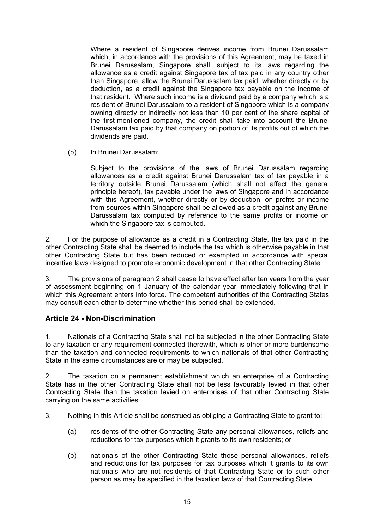Where a resident of Singapore derives income from Brunei Darussalam which, in accordance with the provisions of this Agreement, may be taxed in Brunei Darussalam, Singapore shall, subject to its laws regarding the allowance as a credit against Singapore tax of tax paid in any country other than Singapore, allow the Brunei Darussalam tax paid, whether directly or by deduction, as a credit against the Singapore tax payable on the income of that resident. Where such income is a dividend paid by a company which is a resident of Brunei Darussalam to a resident of Singapore which is a company owning directly or indirectly not less than 10 per cent of the share capital of the first-mentioned company, the credit shall take into account the Brunei Darussalam tax paid by that company on portion of its profits out of which the dividends are paid.

(b) In Brunei Darussalam:

Subject to the provisions of the laws of Brunei Darussalam regarding allowances as a credit against Brunei Darussalam tax of tax payable in a territory outside Brunei Darussalam (which shall not affect the general principle hereof), tax payable under the laws of Singapore and in accordance with this Agreement, whether directly or by deduction, on profits or income from sources within Singapore shall be allowed as a credit against any Brunei Darussalam tax computed by reference to the same profits or income on which the Singapore tax is computed.

2. For the purpose of allowance as a credit in a Contracting State, the tax paid in the other Contracting State shall be deemed to include the tax which is otherwise payable in that other Contracting State but has been reduced or exempted in accordance with special incentive laws designed to promote economic development in that other Contracting State.

3. The provisions of paragraph 2 shall cease to have effect after ten years from the year of assessment beginning on 1 January of the calendar year immediately following that in which this Agreement enters into force. The competent authorities of the Contracting States may consult each other to determine whether this period shall be extended.

## **Article 24 - Non-Discrimination**

1. Nationals of a Contracting State shall not be subjected in the other Contracting State to any taxation or any requirement connected therewith, which is other or more burdensome than the taxation and connected requirements to which nationals of that other Contracting State in the same circumstances are or may be subjected.

2. The taxation on a permanent establishment which an enterprise of a Contracting State has in the other Contracting State shall not be less favourably levied in that other Contracting State than the taxation levied on enterprises of that other Contracting State carrying on the same activities.

3. Nothing in this Article shall be construed as obliging a Contracting State to grant to:

- (a) residents of the other Contracting State any personal allowances, reliefs and reductions for tax purposes which it grants to its own residents; or
- (b) nationals of the other Contracting State those personal allowances, reliefs and reductions for tax purposes for tax purposes which it grants to its own nationals who are not residents of that Contracting State or to such other person as may be specified in the taxation laws of that Contracting State.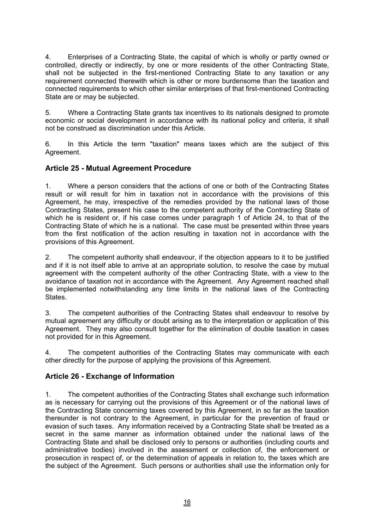4. Enterprises of a Contracting State, the capital of which is wholly or partly owned or controlled, directly or indirectly, by one or more residents of the other Contracting State, shall not be subjected in the first-mentioned Contracting State to any taxation or any requirement connected therewith which is other or more burdensome than the taxation and connected requirements to which other similar enterprises of that first-mentioned Contracting State are or may be subjected.

5. Where a Contracting State grants tax incentives to its nationals designed to promote economic or social development in accordance with its national policy and criteria, it shall not be construed as discrimination under this Article.

6. In this Article the term "taxation" means taxes which are the subject of this Agreement.

## **Article 25 - Mutual Agreement Procedure**

1. Where a person considers that the actions of one or both of the Contracting States result or will result for him in taxation not in accordance with the provisions of this Agreement, he may, irrespective of the remedies provided by the national laws of those Contracting States, present his case to the competent authority of the Contracting State of which he is resident or, if his case comes under paragraph 1 of Article 24, to that of the Contracting State of which he is a national. The case must be presented within three years from the first notification of the action resulting in taxation not in accordance with the provisions of this Agreement.

2. The competent authority shall endeavour, if the objection appears to it to be justified and if it is not itself able to arrive at an appropriate solution, to resolve the case by mutual agreement with the competent authority of the other Contracting State, with a view to the avoidance of taxation not in accordance with the Agreement. Any Agreement reached shall be implemented notwithstanding any time limits in the national laws of the Contracting States.

3. The competent authorities of the Contracting States shall endeavour to resolve by mutual agreement any difficulty or doubt arising as to the interpretation or application of this Agreement. They may also consult together for the elimination of double taxation in cases not provided for in this Agreement.

4. The competent authorities of the Contracting States may communicate with each other directly for the purpose of applying the provisions of this Agreement.

## **Article 26 - Exchange of Information**

1. The competent authorities of the Contracting States shall exchange such information as is necessary for carrying out the provisions of this Agreement or of the national laws of the Contracting State concerning taxes covered by this Agreement, in so far as the taxation thereunder is not contrary to the Agreement, in particular for the prevention of fraud or evasion of such taxes. Any information received by a Contracting State shall be treated as a secret in the same manner as information obtained under the national laws of the Contracting State and shall be disclosed only to persons or authorities (including courts and administrative bodies) involved in the assessment or collection of, the enforcement or prosecution in respect of, or the determination of appeals in relation to, the taxes which are the subject of the Agreement. Such persons or authorities shall use the information only for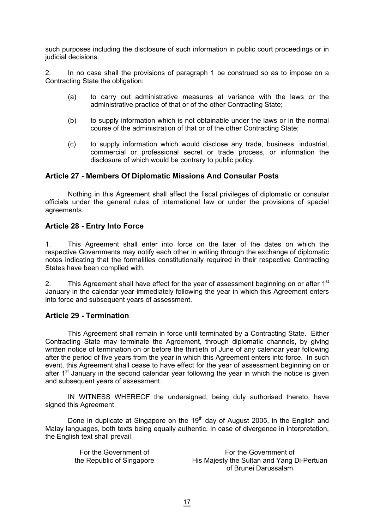such purposes including the disclosure of such information in public court proceedings or in judicial decisions.

2. In no case shall the provisions of paragraph 1 be construed so as to impose on a Contracting State the obligation:

- (a) to carry out administrative measures at variance with the laws or the administrative practice of that or of the other Contracting State;
- (b) to supply information which is not obtainable under the laws or in the normal course of the administration of that or of the other Contracting State;
- (c) to supply information which would disclose any trade, business, industrial, commercial or professional secret or trade process, or information the disclosure of which would be contrary to public policy.

#### **Article 27 - Members Of Diplomatic Missions And Consular Posts**

Nothing in this Agreement shall affect the fiscal privileges of diplomatic or consular officials under the general rules of international law or under the provisions of special agreements.

#### **Article 28 - Entry Into Force**

1. This Agreement shall enter into force on the later of the dates on which the respective Governments may notify each other in writing through the exchange of diplomatic notes indicating that the formalities constitutionally required in their respective Contracting States have been complied with.

2. This Agreement shall have effect for the year of assessment beginning on or after  $1<sup>st</sup>$ January in the calendar year immediately following the year in which this Agreement enters into force and subsequent years of assessment.

#### **Article 29 - Termination**

This Agreement shall remain in force until terminated by a Contracting State. Either Contracting State may terminate the Agreement, through diplomatic channels, by giving written notice of termination on or before the thirtieth of June of any calendar year following after the period of five years from the year in which this Agreement enters into force. In such event, this Agreement shall cease to have effect for the year of assessment beginning on or after  $1<sup>st</sup>$  January in the second calendar year following the year in which the notice is given and subsequent years of assessment.

IN WITNESS WHEREOF the undersigned, being duly authorised thereto, have signed this Agreement.

Done in duplicate at Singapore on the 19<sup>th</sup> day of August 2005, in the English and Malay languages, both texts being equally authentic. In case of divergence in interpretation, the English text shall prevail.

| For the Government of     | For the Government of                      |
|---------------------------|--------------------------------------------|
| the Republic of Singapore | His Majesty the Sultan and Yang Di-Pertuan |
|                           | of Brunei Darussalam                       |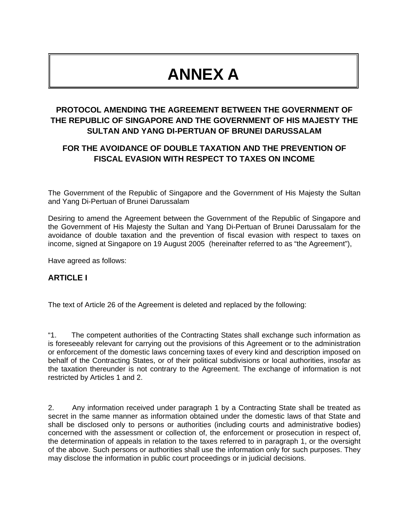# **ANNEX A**

# **PROTOCOL AMENDING THE AGREEMENT BETWEEN THE GOVERNMENT OF THE REPUBLIC OF SINGAPORE AND THE GOVERNMENT OF HIS MAJESTY THE SULTAN AND YANG DI-PERTUAN OF BRUNEI DARUSSALAM**

# **FOR THE AVOIDANCE OF DOUBLE TAXATION AND THE PREVENTION OF FISCAL EVASION WITH RESPECT TO TAXES ON INCOME**

The Government of the Republic of Singapore and the Government of His Majesty the Sultan and Yang Di-Pertuan of Brunei Darussalam

Desiring to amend the Agreement between the Government of the Republic of Singapore and the Government of His Majesty the Sultan and Yang Di-Pertuan of Brunei Darussalam for the avoidance of double taxation and the prevention of fiscal evasion with respect to taxes on income, signed at Singapore on 19 August 2005 (hereinafter referred to as "the Agreement"),

Have agreed as follows:

## **ARTICLE I**

The text of Article 26 of the Agreement is deleted and replaced by the following:

"1. The competent authorities of the Contracting States shall exchange such information as is foreseeably relevant for carrying out the provisions of this Agreement or to the administration or enforcement of the domestic laws concerning taxes of every kind and description imposed on behalf of the Contracting States, or of their political subdivisions or local authorities, insofar as the taxation thereunder is not contrary to the Agreement. The exchange of information is not restricted by Articles 1 and 2.

2. Any information received under paragraph 1 by a Contracting State shall be treated as secret in the same manner as information obtained under the domestic laws of that State and shall be disclosed only to persons or authorities (including courts and administrative bodies) concerned with the assessment or collection of, the enforcement or prosecution in respect of, the determination of appeals in relation to the taxes referred to in paragraph 1, or the oversight of the above. Such persons or authorities shall use the information only for such purposes. They may disclose the information in public court proceedings or in judicial decisions.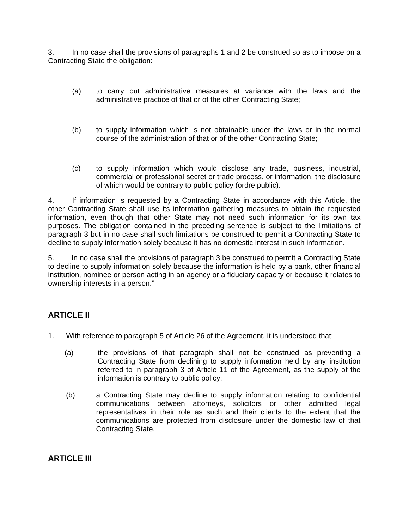3. In no case shall the provisions of paragraphs 1 and 2 be construed so as to impose on a Contracting State the obligation:

- (a) to carry out administrative measures at variance with the laws and the administrative practice of that or of the other Contracting State;
- (b) to supply information which is not obtainable under the laws or in the normal course of the administration of that or of the other Contracting State;
- (c) to supply information which would disclose any trade, business, industrial, commercial or professional secret or trade process, or information, the disclosure of which would be contrary to public policy (ordre public).

4. If information is requested by a Contracting State in accordance with this Article, the other Contracting State shall use its information gathering measures to obtain the requested information, even though that other State may not need such information for its own tax purposes. The obligation contained in the preceding sentence is subject to the limitations of paragraph 3 but in no case shall such limitations be construed to permit a Contracting State to decline to supply information solely because it has no domestic interest in such information.

5. In no case shall the provisions of paragraph 3 be construed to permit a Contracting State to decline to supply information solely because the information is held by a bank, other financial institution, nominee or person acting in an agency or a fiduciary capacity or because it relates to ownership interests in a person."

## **ARTICLE II**

- 1. With reference to paragraph 5 of Article 26 of the Agreement, it is understood that:
	- (a) the provisions of that paragraph shall not be construed as preventing a Contracting State from declining to supply information held by any institution referred to in paragraph 3 of Article 11 of the Agreement, as the supply of the information is contrary to public policy;
	- (b) a Contracting State may decline to supply information relating to confidential communications between attorneys, solicitors or other admitted legal representatives in their role as such and their clients to the extent that the communications are protected from disclosure under the domestic law of that Contracting State.

**ARTICLE III**